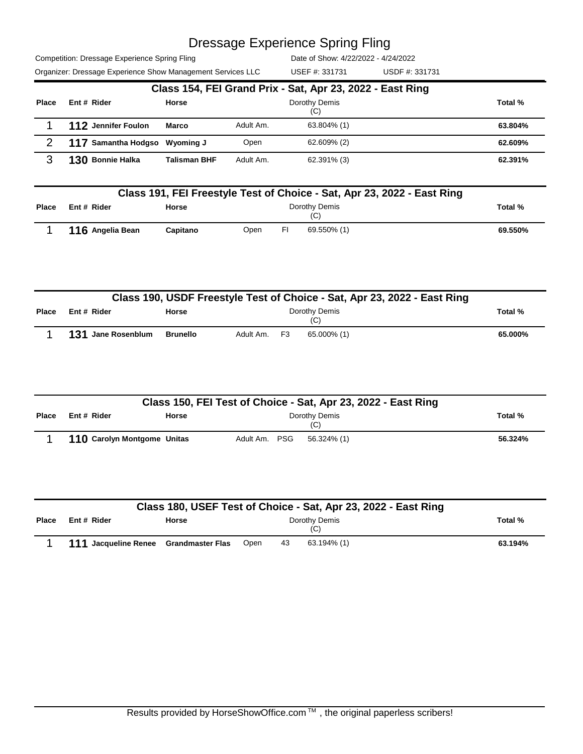Competition: Dressage Experience Spring Fling Organizer: Dressage Experience Show Management Services LLC USEF #: 331731 USDF #: 331731

Date of Show: 4/22/2022 - 4/24/2022 USEF #: 331731

|       |                               |                     |           | Class 154, FEI Grand Prix - Sat, Apr 23, 2022 - East Ring |         |
|-------|-------------------------------|---------------------|-----------|-----------------------------------------------------------|---------|
| Place | Ent # Rider                   | Horse               |           | Dorothy Demis<br>(C)                                      | Total % |
|       | 112 Jennifer Foulon           | <b>Marco</b>        | Adult Am. | 63.804% (1)                                               | 63.804% |
| 2     | 117 Samantha Hodgso Wyoming J |                     | Open      | 62.609% (2)                                               | 62.609% |
| ว     | 130 Bonnie Halka              | <b>Talisman BHF</b> | Adult Am. | 62.391% (3)                                               | 62.391% |

|              | Class 191, FEI Freestyle Test of Choice - Sat, Apr 23, 2022 - East Ring |          |      |    |                      |         |  |
|--------------|-------------------------------------------------------------------------|----------|------|----|----------------------|---------|--|
| <b>Place</b> | Ent # Rider                                                             | Horse    |      |    | Dorothy Demis<br>(C) | Total % |  |
|              | 116 Angelia Bean                                                        | Capitano | Open | FI | 69.550% (1)          | 69.550% |  |

|       | Class 190, USDF Freestyle Test of Choice - Sat, Apr 23, 2022 - East Ring |                 |              |  |                      |  |         |
|-------|--------------------------------------------------------------------------|-----------------|--------------|--|----------------------|--|---------|
| Place | Ent # Rider                                                              | <b>Horse</b>    |              |  | Dorothy Demis<br>(C) |  | Total % |
|       | 131 Jane Rosenblum                                                       | <b>Brunello</b> | Adult Am. F3 |  | 65.000% (1)          |  | 65.000% |

|              | Class 150, FEI Test of Choice - Sat, Apr 23, 2022 - East Ring |              |               |  |                      |         |  |  |
|--------------|---------------------------------------------------------------|--------------|---------------|--|----------------------|---------|--|--|
| <b>Place</b> | Ent # Rider                                                   | <b>Horse</b> |               |  | Dorothy Demis<br>(C) | Total % |  |  |
|              | 110 Carolyn Montgome Unitas                                   |              | Adult Am. PSG |  | 56.324% (1)          | 56.324% |  |  |

|              | Class 180, USEF Test of Choice - Sat, Apr 23, 2022 - East Ring |              |      |    |                      |         |  |
|--------------|----------------------------------------------------------------|--------------|------|----|----------------------|---------|--|
| <b>Place</b> | Ent # Rider                                                    | <b>Horse</b> |      |    | Dorothy Demis<br>(C) | Total % |  |
|              | 111 Jacqueline Renee Grandmaster Flas                          |              | Open | 43 | 63.194% (1)          | 63.194% |  |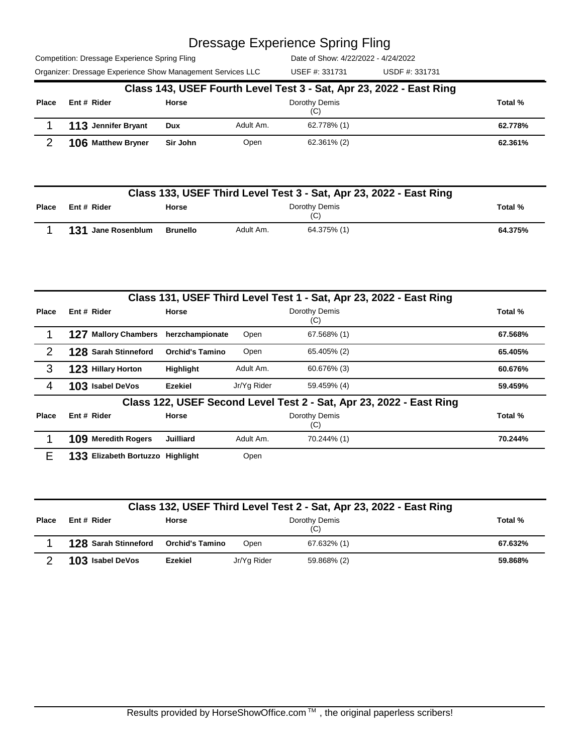Competition: Dressage Experience Spring Fling

Date of Show: 4/22/2022 - 4/24/2022

Organizer: Dressage Experience Show Management Services LLC USEF #: 331731 USDF #: 331731 USEF #: 331731

|              | Class 143, USEF Fourth Level Test 3 - Sat, Apr 23, 2022 - East Ring |              |           |                      |  |         |  |  |  |
|--------------|---------------------------------------------------------------------|--------------|-----------|----------------------|--|---------|--|--|--|
| <b>Place</b> | Ent # Rider                                                         | <b>Horse</b> |           | Dorothy Demis<br>(C) |  | Total % |  |  |  |
|              | 113 Jennifer Bryant                                                 | Dux          | Adult Am. | 62.778% (1)          |  | 62.778% |  |  |  |
|              | 106 Matthew Bryner                                                  | Sir John     | Open      | 62.361% (2)          |  | 62.361% |  |  |  |

|              | Class 133, USEF Third Level Test 3 - Sat, Apr 23, 2022 - East Ring |          |           |                      |         |  |  |  |
|--------------|--------------------------------------------------------------------|----------|-----------|----------------------|---------|--|--|--|
| <b>Place</b> | Ent # Rider                                                        | Horse    |           | Dorothy Demis<br>(C) | Total % |  |  |  |
|              | 131 Jane Rosenblum                                                 | Brunello | Adult Am. | 64.375% (1)          | 64.375% |  |  |  |

|              |                                  |                        |             | Class 131, USEF Third Level Test 1 - Sat, Apr 23, 2022 - East Ring  |         |
|--------------|----------------------------------|------------------------|-------------|---------------------------------------------------------------------|---------|
| <b>Place</b> | Ent # Rider                      | <b>Horse</b>           |             | Dorothy Demis<br>(C)                                                | Total % |
|              | <b>Mallory Chambers</b><br>127   | herzchampionate        | Open        | 67.568% (1)                                                         | 67.568% |
| 2            | <b>128 Sarah Stinneford</b>      | <b>Orchid's Tamino</b> | Open        | 65.405% (2)                                                         | 65.405% |
| 3            | 123 Hillary Horton               | <b>Highlight</b>       | Adult Am.   | 60.676% (3)                                                         | 60.676% |
| 4            | 103 Isabel DeVos                 | Ezekiel                | Jr/Yg Rider | 59.459% (4)                                                         | 59.459% |
|              |                                  |                        |             | Class 122, USEF Second Level Test 2 - Sat, Apr 23, 2022 - East Ring |         |
| <b>Place</b> | Ent # Rider                      | <b>Horse</b>           |             | Dorothy Demis<br>(C)                                                | Total % |
|              | 109 Meredith Rogers              | <b>Juilliard</b>       | Adult Am.   | 70.244% (1)                                                         | 70.244% |
| F            | 133 Elizabeth Bortuzzo Highlight |                        | Open        |                                                                     |         |

|              | Class 132, USEF Third Level Test 2 - Sat, Apr 23, 2022 - East Ring |                        |             |                      |         |  |  |  |
|--------------|--------------------------------------------------------------------|------------------------|-------------|----------------------|---------|--|--|--|
| <b>Place</b> | Ent # Rider                                                        | <b>Horse</b>           |             | Dorothy Demis<br>(C) | Total % |  |  |  |
|              | 128 Sarah Stinneford                                               | <b>Orchid's Tamino</b> | Open        | 67.632% (1)          | 67.632% |  |  |  |
|              | 103 Isabel DeVos                                                   | Ezekiel                | Jr/Yg Rider | 59.868% (2)          | 59.868% |  |  |  |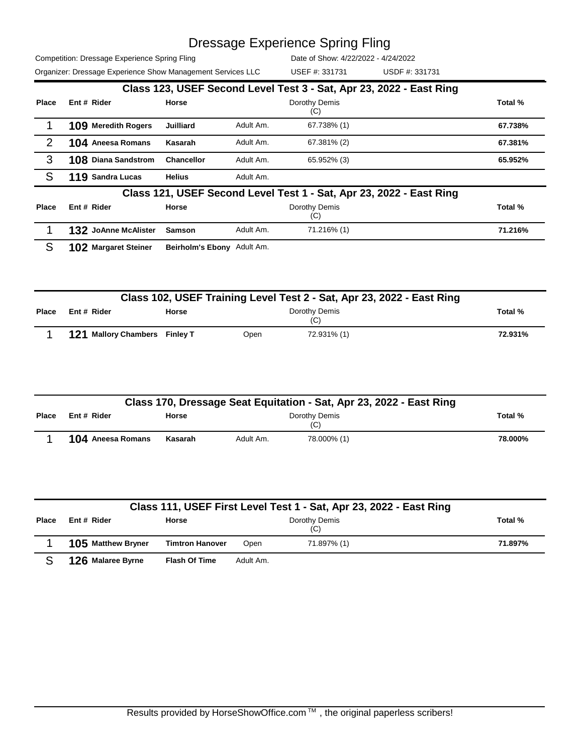USEF #: 331731

Competition: Dressage Experience Spring Fling Organizer: Dressage Experience Show Management Services LLC USEF #: 331731 USDF #: 331731

|              |                            |                            |           | Class 123, USEF Second Level Test 3 - Sat, Apr 23, 2022 - East Ring |         |
|--------------|----------------------------|----------------------------|-----------|---------------------------------------------------------------------|---------|
| <b>Place</b> | Ent # Rider                | <b>Horse</b>               |           | Dorothy Demis                                                       | Total % |
|              |                            |                            |           | (C)                                                                 |         |
|              | 109 Meredith Rogers        | <b>Juilliard</b>           | Adult Am. | 67.738% (1)                                                         | 67.738% |
| 2            | <b>104</b> Aneesa Romans   | Kasarah                    | Adult Am. | 67.381% (2)                                                         | 67.381% |
| 3            | <b>108 Diana Sandstrom</b> | <b>Chancellor</b>          | Adult Am. | 65.952% (3)                                                         | 65.952% |
| S            | 119 Sandra Lucas           | <b>Helius</b>              | Adult Am. |                                                                     |         |
|              |                            |                            |           | Class 121, USEF Second Level Test 1 - Sat, Apr 23, 2022 - East Ring |         |
| Place        | Ent # Rider                | Horse                      |           | Dorothy Demis<br>(C)                                                | Total % |
|              | 132 JoAnne McAlister       | <b>Samson</b>              | Adult Am. | 71.216% (1)                                                         | 71.216% |
| S            | 102 Margaret Steiner       | Beirholm's Ebony Adult Am. |           |                                                                     |         |

|       | Class 102, USEF Training Level Test 2 - Sat, Apr 23, 2022 - East Ring |              |      |                      |         |  |  |  |
|-------|-----------------------------------------------------------------------|--------------|------|----------------------|---------|--|--|--|
| Place | Ent # Rider                                                           | <b>Horse</b> |      | Dorothy Demis<br>(C) | Total % |  |  |  |
|       | 121 Mallory Chambers Finley T                                         |              | Open | 72.931% (1)          | 72.931% |  |  |  |

| Class 170, Dressage Seat Equitation - Sat, Apr 23, 2022 - East Ring |                          |              |           |                      |         |  |
|---------------------------------------------------------------------|--------------------------|--------------|-----------|----------------------|---------|--|
| <b>Place</b>                                                        | Ent # Rider              | <b>Horse</b> |           | Dorothy Demis<br>(C) | Total % |  |
|                                                                     | <b>104</b> Aneesa Romans | Kasarah      | Adult Am. | 78.000% (1)          | 78.000% |  |

|              | Class 111, USEF First Level Test 1 - Sat, Apr 23, 2022 - East Ring |                        |           |                      |         |  |  |  |  |  |
|--------------|--------------------------------------------------------------------|------------------------|-----------|----------------------|---------|--|--|--|--|--|
| <b>Place</b> | Ent # Rider                                                        | <b>Horse</b>           |           | Dorothy Demis<br>(C) | Total % |  |  |  |  |  |
|              | 105 Matthew Bryner                                                 | <b>Timtron Hanover</b> | Open      | 71.897% (1)          | 71.897% |  |  |  |  |  |
|              | 126 Malaree Byrne                                                  | <b>Flash Of Time</b>   | Adult Am. |                      |         |  |  |  |  |  |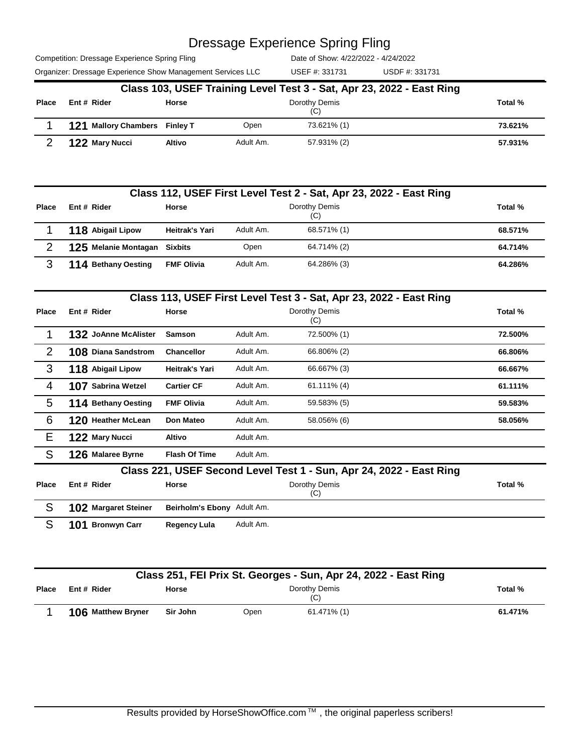USEF #: 331731

Competition: Dressage Experience Spring Fling Organizer: Dressage Experience Show Management Services LLC USEF #: 331731 USDF #: 331731

|              | Class 103, USEF Training Level Test 3 - Sat, Apr 23, 2022 - East Ring |        |           |                      |         |  |  |  |  |
|--------------|-----------------------------------------------------------------------|--------|-----------|----------------------|---------|--|--|--|--|
| <b>Place</b> | Ent # Rider                                                           | Horse  |           | Dorothy Demis<br>(C) | Total % |  |  |  |  |
|              | 121 Mallory Chambers Finley T                                         |        | Open      | 73.621% (1)          | 73.621% |  |  |  |  |
|              | 122 Mary Nucci                                                        | Altivo | Adult Am. | 57.931% (2)          | 57.931% |  |  |  |  |

|       | Class 112, USEF First Level Test 2 - Sat, Apr 23, 2022 - East Ring |                       |           |                      |         |  |  |  |  |  |
|-------|--------------------------------------------------------------------|-----------------------|-----------|----------------------|---------|--|--|--|--|--|
| Place | Ent # Rider                                                        | Horse                 |           | Dorothy Demis<br>(C) | Total % |  |  |  |  |  |
|       | 118 Abigail Lipow                                                  | <b>Heitrak's Yari</b> | Adult Am. | 68.571% (1)          | 68.571% |  |  |  |  |  |
|       | 125 Melanie Montagan Sixbits                                       |                       | Open      | 64.714% (2)          | 64.714% |  |  |  |  |  |
|       | 114 Bethany Oesting                                                | <b>FMF Olivia</b>     | Adult Am. | 64.286% (3)          | 64.286% |  |  |  |  |  |

|                |                            |                            |           | Class 113, USEF First Level Test 3 - Sat, Apr 23, 2022 - East Ring  |         |
|----------------|----------------------------|----------------------------|-----------|---------------------------------------------------------------------|---------|
| <b>Place</b>   | Ent # Rider                | <b>Horse</b>               |           | Dorothy Demis<br>(C)                                                | Total % |
|                | 132 JoAnne McAlister       | <b>Samson</b>              | Adult Am. | 72.500% (1)                                                         | 72.500% |
| 2              | <b>108 Diana Sandstrom</b> | <b>Chancellor</b>          | Adult Am. | 66.806% (2)                                                         | 66.806% |
| 3              | 118 Abigail Lipow          | Heitrak's Yari             | Adult Am. | 66.667% (3)                                                         | 66.667% |
| $\overline{4}$ | 107 Sabrina Wetzel         | <b>Cartier CF</b>          | Adult Am. | $61.111\%$ (4)                                                      | 61.111% |
| 5              | 114 Bethany Oesting        | <b>FMF Olivia</b>          | Adult Am. | 59.583% (5)                                                         | 59.583% |
| 6              | 120 Heather McLean         | <b>Don Mateo</b>           | Adult Am. | 58.056% (6)                                                         | 58.056% |
| E              | 122 Mary Nucci             | Altivo                     | Adult Am. |                                                                     |         |
| S              | 126 Malaree Byrne          | <b>Flash Of Time</b>       | Adult Am. |                                                                     |         |
|                |                            |                            |           | Class 221, USEF Second Level Test 1 - Sun, Apr 24, 2022 - East Ring |         |
| <b>Place</b>   | Ent # Rider                | Horse                      |           | Dorothy Demis<br>(C)                                                | Total % |
| S              | 102 Margaret Steiner       | Beirholm's Ebony Adult Am. |           |                                                                     |         |
| S              | 101 Bronwyn Carr           | <b>Regency Lula</b>        | Adult Am. |                                                                     |         |

|              | Class 251, FEI Prix St. Georges - Sun, Apr 24, 2022 - East Ring |          |      |                      |         |  |  |  |  |
|--------------|-----------------------------------------------------------------|----------|------|----------------------|---------|--|--|--|--|
| <b>Place</b> | Ent # Rider                                                     | Horse    |      | Dorothy Demis<br>(C) | Total % |  |  |  |  |
|              | 106 Matthew Bryner                                              | Sir John | Open | 61.471% (1)          | 61.471% |  |  |  |  |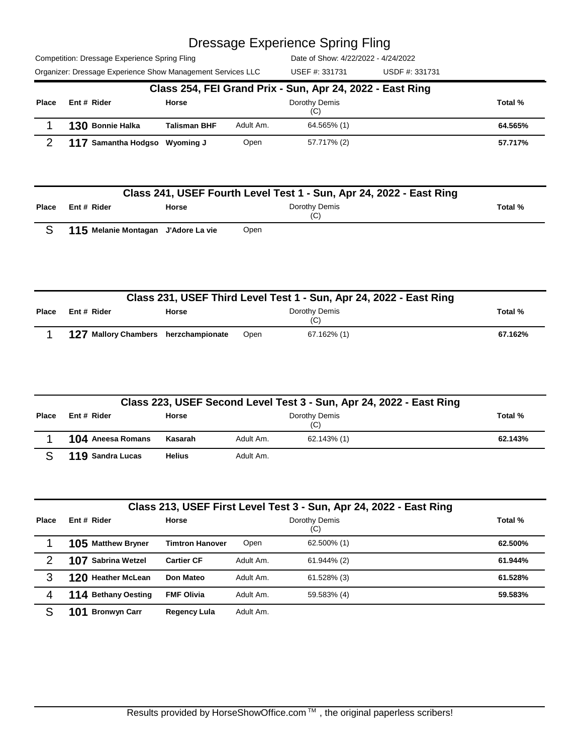Competition: Dressage Experience Spring Fling Organizer: Dressage Experience Show Management Services LLC USDF #: 331731

| Organizer: Dressage Experience Show Management Services LLC |                                                           |                     |                      | USEF #: 331731 | USDF #: 331731 |         |  |  |  |  |
|-------------------------------------------------------------|-----------------------------------------------------------|---------------------|----------------------|----------------|----------------|---------|--|--|--|--|
|                                                             | Class 254, FEI Grand Prix - Sun, Apr 24, 2022 - East Ring |                     |                      |                |                |         |  |  |  |  |
| <b>Place</b>                                                | Ent # Rider                                               | Horse               | Dorothy Demis<br>(C) |                |                |         |  |  |  |  |
|                                                             | 130 Bonnie Halka                                          | <b>Talisman BHF</b> | Adult Am.            | 64.565% (1)    |                | 64.565% |  |  |  |  |
|                                                             | 117 Samantha Hodgso Wyoming J                             |                     | Open                 | 57.717% (2)    |                | 57.717% |  |  |  |  |

|              | Class 241, USEF Fourth Level Test 1 - Sun, Apr 24, 2022 - East Ring |                                     |                      |         |  |  |  |  |  |
|--------------|---------------------------------------------------------------------|-------------------------------------|----------------------|---------|--|--|--|--|--|
| <b>Place</b> | Ent # Rider                                                         | <b>Horse</b>                        | Dorothy Demis<br>(C) | Total % |  |  |  |  |  |
|              |                                                                     | 115 Melanie Montagan J'Adore La vie | Open                 |         |  |  |  |  |  |

|       | Class 231, USEF Third Level Test 1 - Sun, Apr 24, 2022 - East Ring |              |      |                      |  |         |  |  |  |
|-------|--------------------------------------------------------------------|--------------|------|----------------------|--|---------|--|--|--|
| Place | Ent # Rider                                                        | <b>Horse</b> |      | Dorothy Demis<br>(C) |  | Total % |  |  |  |
|       | 127 Mallory Chambers herzchampionate                               |              | Open | 67.162% (1)          |  | 67.162% |  |  |  |

|       | Class 223, USEF Second Level Test 3 - Sun, Apr 24, 2022 - East Ring |               |                          |         |  |  |  |  |  |
|-------|---------------------------------------------------------------------|---------------|--------------------------|---------|--|--|--|--|--|
| Place | Ent # Rider                                                         | <b>Horse</b>  | Dorothy Demis<br>(C)     | Total % |  |  |  |  |  |
|       | 104 Aneesa Romans                                                   | Kasarah       | 62.143% (1)<br>Adult Am. | 62.143% |  |  |  |  |  |
|       | 119 Sandra Lucas                                                    | <b>Helius</b> | Adult Am.                |         |  |  |  |  |  |

| Class 213, USEF First Level Test 3 - Sun, Apr 24, 2022 - East Ring |                     |                        |           |                      |         |  |  |
|--------------------------------------------------------------------|---------------------|------------------------|-----------|----------------------|---------|--|--|
| Place                                                              | Ent # Rider         | <b>Horse</b>           |           | Dorothy Demis<br>(C) | Total % |  |  |
|                                                                    | 105 Matthew Bryner  | <b>Timtron Hanover</b> | Open      | 62.500% (1)          | 62.500% |  |  |
| 2                                                                  | 107 Sabrina Wetzel  | <b>Cartier CF</b>      | Adult Am. | 61.944% (2)          | 61.944% |  |  |
| 3                                                                  | 120 Heather McLean  | Don Mateo              | Adult Am. | 61.528% (3)          | 61.528% |  |  |
| 4                                                                  | 114 Bethany Oesting | <b>FMF Olivia</b>      | Adult Am. | 59.583% (4)          | 59.583% |  |  |
| S                                                                  | <b>Bronwyn Carr</b> | <b>Regency Lula</b>    | Adult Am. |                      |         |  |  |